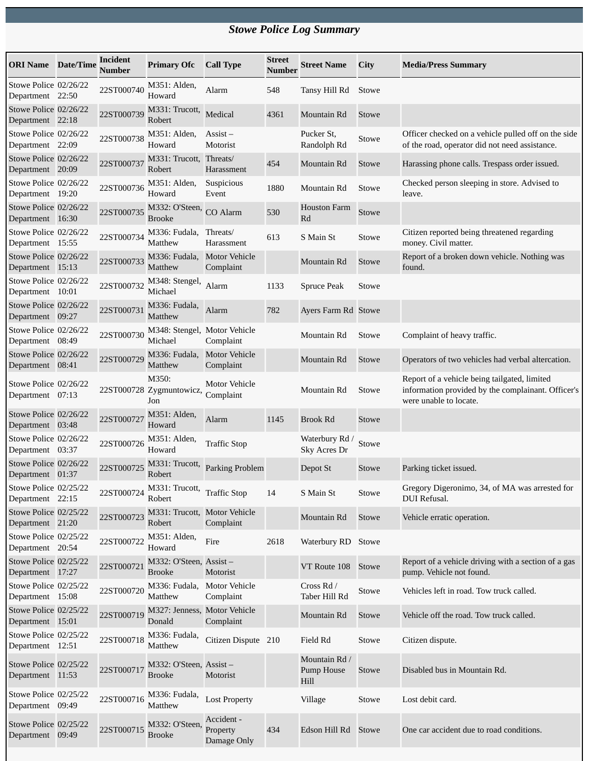## *Stowe Police Log Summary*

| <b>ORI Name</b> Date/Time                 | Incident<br><b>Number</b> | <b>Primary Ofc</b>                       | <b>Call Type</b>                      | <b>Street</b><br>Number | <b>Street Name</b>                  | City  | <b>Media/Press Summary</b>                                                                                                   |
|-------------------------------------------|---------------------------|------------------------------------------|---------------------------------------|-------------------------|-------------------------------------|-------|------------------------------------------------------------------------------------------------------------------------------|
| Stowe Police 02/26/22<br>Department 22:50 | 22ST000740                | M351: Alden,<br>Howard                   | Alarm                                 | 548                     | Tansy Hill Rd                       | Stowe |                                                                                                                              |
| Stowe Police 02/26/22<br>Department 22:18 | 22ST000739                | M331: Trucott,<br>Robert                 | Medical                               | 4361                    | Mountain Rd                         | Stowe |                                                                                                                              |
| Stowe Police 02/26/22<br>Department 22:09 | 22ST000738                | M351: Alden,<br>Howard                   | $\overline{Assist}$ –<br>Motorist     |                         | Pucker St,<br>Randolph Rd           | Stowe | Officer checked on a vehicle pulled off on the side<br>of the road, operator did not need assistance.                        |
| Stowe Police 02/26/22<br>Department 20:09 | 22ST000737                | M331: Trucott, Threats/<br>Robert        | Harassment                            | 454                     | Mountain Rd                         | Stowe | Harassing phone calls. Trespass order issued.                                                                                |
| Stowe Police 02/26/22<br>Department 19:20 | 22ST000736                | M351: Alden,<br>Howard                   | Suspicious<br>Event                   | 1880                    | Mountain Rd                         | Stowe | Checked person sleeping in store. Advised to<br>leave.                                                                       |
| Stowe Police 02/26/22<br>Department 16:30 | 22ST000735                | M332: O'Steen,<br><b>Brooke</b>          | CO Alarm                              | 530                     | <b>Houston Farm</b><br>Rd           | Stowe |                                                                                                                              |
| Stowe Police 02/26/22<br>Department 15:55 | 22ST000734                | M336: Fudala,<br>Matthew                 | Threats/<br>Harassment                | 613                     | S Main St                           | Stowe | Citizen reported being threatened regarding<br>money. Civil matter.                                                          |
| Stowe Police 02/26/22<br>Department 15:13 | 22ST000733                | M336: Fudala,<br>Matthew                 | <b>Motor Vehicle</b><br>Complaint     |                         | Mountain Rd                         | Stowe | Report of a broken down vehicle. Nothing was<br>found.                                                                       |
| Stowe Police 02/26/22<br>Department 10:01 | 22ST000732                | M348: Stengel,<br>Michael                | Alarm                                 | 1133                    | <b>Spruce Peak</b>                  | Stowe |                                                                                                                              |
| Stowe Police 02/26/22<br>Department 09:27 | 22ST000731                | M336: Fudala,<br>Matthew                 | Alarm                                 | 782                     | Ayers Farm Rd Stowe                 |       |                                                                                                                              |
| Stowe Police 02/26/22<br>Department 08:49 | 22ST000730                | M348: Stengel, Motor Vehicle<br>Michael  | Complaint                             |                         | Mountain Rd                         | Stowe | Complaint of heavy traffic.                                                                                                  |
| Stowe Police 02/26/22<br>Department 08:41 | 22ST000729                | M336: Fudala,<br>Matthew                 | <b>Motor Vehicle</b><br>Complaint     |                         | Mountain Rd                         | Stowe | Operators of two vehicles had verbal altercation.                                                                            |
| Stowe Police 02/26/22<br>Department 07:13 |                           | M350:<br>22ST000728 Zygmuntowicz,<br>Jon | <b>Motor Vehicle</b><br>Complaint     |                         | Mountain Rd                         | Stowe | Report of a vehicle being tailgated, limited<br>information provided by the complainant. Officer's<br>were unable to locate. |
| Stowe Police 02/26/22<br>Department 03:48 | 22ST000727                | M351: Alden,<br>Howard                   | Alarm                                 | 1145                    | <b>Brook Rd</b>                     | Stowe |                                                                                                                              |
| Stowe Police 02/26/22<br>Department 03:37 | 22ST000726                | M351: Alden,<br>Howard                   | <b>Traffic Stop</b>                   |                         | Waterbury Rd /<br>Sky Acres Dr      | Stowe |                                                                                                                              |
| Stowe Police 02/26/22<br>Department 01:37 | 22ST000725                | M331: Trucott,<br>Robert                 | Parking Problem                       |                         | Depot St                            | Stowe | Parking ticket issued.                                                                                                       |
| Stowe Police 02/25/22<br>Department 22:15 | 22ST000724                | M331: Trucott,<br>Robert                 | <b>Traffic Stop</b>                   | 14                      | S Main St                           | Stowe | Gregory Digeronimo, 34, of MA was arrested for<br>DUI Refusal.                                                               |
| Stowe Police 02/25/22<br>Department 21:20 | 22ST000723                | M331: Trucott, Motor Vehicle<br>Robert   | Complaint                             |                         | Mountain Rd                         | Stowe | Vehicle erratic operation.                                                                                                   |
| Stowe Police 02/25/22<br>Department 20:54 | 22ST000722                | M351: Alden,<br>Howard                   | Fire                                  | 2618                    | Waterbury RD                        | Stowe |                                                                                                                              |
| Stowe Police 02/25/22<br>Department 17:27 | 22ST000721                | M332: O'Steen, Assist-<br>Brooke         | Motorist                              |                         | VT Route 108                        | Stowe | Report of a vehicle driving with a section of a gas<br>pump. Vehicle not found.                                              |
| Stowe Police 02/25/22<br>Department 15:08 | 22ST000720                | M336: Fudala,<br>Matthew                 | <b>Motor Vehicle</b><br>Complaint     |                         | Cross Rd /<br>Taber Hill Rd         | Stowe | Vehicles left in road. Tow truck called.                                                                                     |
| Stowe Police 02/25/22<br>Department 15:01 | 22ST000719                | M327: Jenness, Motor Vehicle<br>Donald   | Complaint                             |                         | Mountain Rd                         | Stowe | Vehicle off the road. Tow truck called.                                                                                      |
| Stowe Police 02/25/22<br>Department 12:51 | 22ST000718                | M336: Fudala,<br>Matthew                 | Citizen Dispute 210                   |                         | Field Rd                            | Stowe | Citizen dispute.                                                                                                             |
| Stowe Police 02/25/22<br>Department 11:53 | 22ST000717                | M332: O'Steen, Assist-<br><b>Brooke</b>  | Motorist                              |                         | Mountain Rd /<br>Pump House<br>Hill | Stowe | Disabled bus in Mountain Rd.                                                                                                 |
| Stowe Police 02/25/22<br>Department 09:49 | 22ST000716                | M336: Fudala,<br>Matthew                 | <b>Lost Property</b>                  |                         | Village                             | Stowe | Lost debit card.                                                                                                             |
| Stowe Police 02/25/22<br>Department 09:49 | 22ST000715                | M332: O'Steen,<br><b>Brooke</b>          | Accident -<br>Property<br>Damage Only | 434                     | Edson Hill Rd                       | Stowe | One car accident due to road conditions.                                                                                     |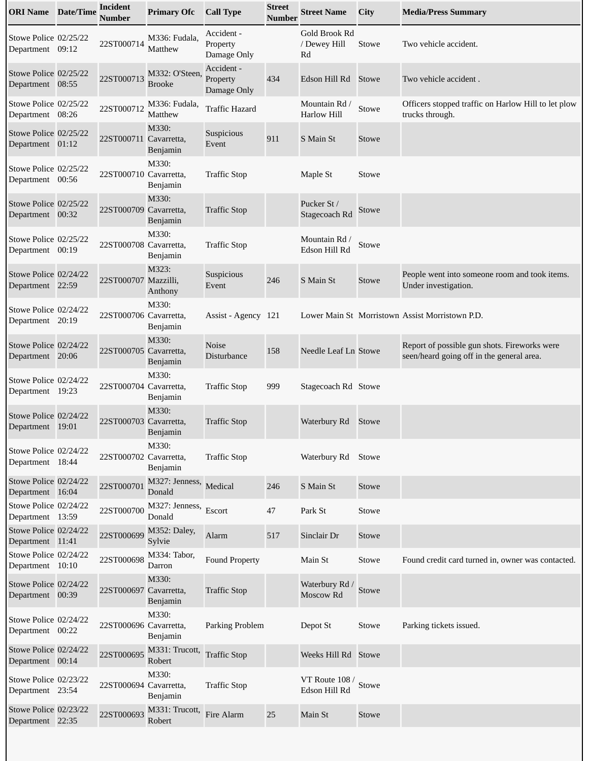| <b>ORI Name</b> Date/Time                 | <b>Incident</b><br>Number | <b>Primary Ofc</b>              | <b>Call Type</b>                      | <b>Street</b><br><b>Number</b> | <b>Street Name</b>                  | City         | <b>Media/Press Summary</b>                                                                |
|-------------------------------------------|---------------------------|---------------------------------|---------------------------------------|--------------------------------|-------------------------------------|--------------|-------------------------------------------------------------------------------------------|
| Stowe Police 02/25/22<br>Department 09:12 | 22ST000714                | M336: Fudala,<br>Matthew        | Accident -<br>Property<br>Damage Only |                                | Gold Brook Rd<br>/ Dewey Hill<br>Rd | Stowe        | Two vehicle accident.                                                                     |
| Stowe Police 02/25/22<br>Department 08:55 | 22ST000713                | M332: O'Steen,<br><b>Brooke</b> | Accident -<br>Property<br>Damage Only | 434                            | Edson Hill Rd                       | Stowe        | Two vehicle accident.                                                                     |
| Stowe Police 02/25/22<br>Department 08:26 | 22ST000712                | M336: Fudala,<br>Matthew        | <b>Traffic Hazard</b>                 |                                | Mountain Rd /<br><b>Harlow Hill</b> | Stowe        | Officers stopped traffic on Harlow Hill to let plow<br>trucks through.                    |
| Stowe Police 02/25/22<br>Department 01:12 | 22ST000711 Cavarretta,    | M330:<br>Benjamin               | <b>Suspicious</b><br>Event            | 911                            | S Main St                           | Stowe        |                                                                                           |
| Stowe Police 02/25/22<br>Department 00:56 | 22ST000710 Cavarretta,    | M330:<br>Benjamin               | <b>Traffic Stop</b>                   |                                | Maple St                            | Stowe        |                                                                                           |
| Stowe Police 02/25/22<br>Department 00:32 | 22ST000709 Cavarretta,    | M330:<br>Benjamin               | <b>Traffic Stop</b>                   |                                | Pucker St /<br>Stagecoach Rd        | Stowe        |                                                                                           |
| Stowe Police 02/25/22<br>Department 00:19 | 22ST000708 Cavarretta,    | M330:<br>Benjamin               | <b>Traffic Stop</b>                   |                                | Mountain Rd /<br>Edson Hill Rd      | Stowe        |                                                                                           |
| Stowe Police 02/24/22<br>Department 22:59 | 22ST000707 Mazzilli,      | M323:<br>Anthony                | Suspicious<br>Event                   | 246                            | S Main St                           | <b>Stowe</b> | People went into someone room and took items.<br>Under investigation.                     |
| Stowe Police 02/24/22<br>Department 20:19 | 22ST000706 Cavarretta,    | M330:<br>Benjamin               | Assist - Agency 121                   |                                |                                     |              | Lower Main St Morristown Assist Morristown P.D.                                           |
| Stowe Police 02/24/22<br>Department 20:06 | 22ST000705 Cavarretta,    | M330:<br>Benjamin               | <b>Noise</b><br>Disturbance           | 158                            | Needle Leaf Ln Stowe                |              | Report of possible gun shots. Fireworks were<br>seen/heard going off in the general area. |
| Stowe Police 02/24/22<br>Department 19:23 | 22ST000704 Cavarretta,    | M330:<br>Benjamin               | <b>Traffic Stop</b>                   | 999                            | Stagecoach Rd Stowe                 |              |                                                                                           |
| Stowe Police 02/24/22<br>Department 19:01 | 22ST000703 Cavarretta,    | M330:<br>Benjamin               | <b>Traffic Stop</b>                   |                                | Waterbury Rd                        | Stowe        |                                                                                           |
| Stowe Police 02/24/22<br>Department 18:44 | 22ST000702 Cavarretta,    | M330:<br>Benjamin               | <b>Traffic Stop</b>                   |                                | Waterbury Rd                        | Stowe        |                                                                                           |
| Stowe Police 02/24/22<br>Department 16:04 | 22ST000701                | M327: Jenness,<br>Donald        | Medical                               | 246                            | S Main St                           | Stowe        |                                                                                           |
| Stowe Police 02/24/22<br>Department 13:59 | 22ST000700                | M327: Jenness,<br>Donald        | Escort                                | 47                             | Park St                             | Stowe        |                                                                                           |
| Stowe Police 02/24/22<br>Department 11:41 | 22ST000699                | M352: Daley,<br>Sylvie          | Alarm                                 | 517                            | Sinclair Dr                         | Stowe        |                                                                                           |
| Stowe Police 02/24/22<br>Department 10:10 | 22ST000698                | M334: Tabor,<br>Darron          | Found Property                        |                                | Main St                             | Stowe        | Found credit card turned in, owner was contacted.                                         |
| Stowe Police 02/24/22<br>Department 00:39 | 22ST000697 Cavarretta,    | M330:<br>Benjamin               | <b>Traffic Stop</b>                   |                                | Waterbury Rd /<br>Moscow Rd         | Stowe        |                                                                                           |
| Stowe Police 02/24/22<br>Department 00:22 | 22ST000696 Cavarretta,    | M330:<br>Benjamin               | Parking Problem                       |                                | Depot St                            | Stowe        | Parking tickets issued.                                                                   |
| Stowe Police 02/24/22<br>Department 00:14 | 22ST000695                | M331: Trucott,<br>Robert        | <b>Traffic Stop</b>                   |                                | Weeks Hill Rd                       | Stowe        |                                                                                           |
| Stowe Police 02/23/22<br>Department 23:54 | 22ST000694 Cavarretta,    | M330:<br>Benjamin               | <b>Traffic Stop</b>                   |                                | VT Route 108 /<br>Edson Hill Rd     | Stowe        |                                                                                           |
| Stowe Police 02/23/22<br>Department 22:35 | 22ST000693                | M331: Trucott,<br>Robert        | Fire Alarm                            | 25                             | Main St                             | Stowe        |                                                                                           |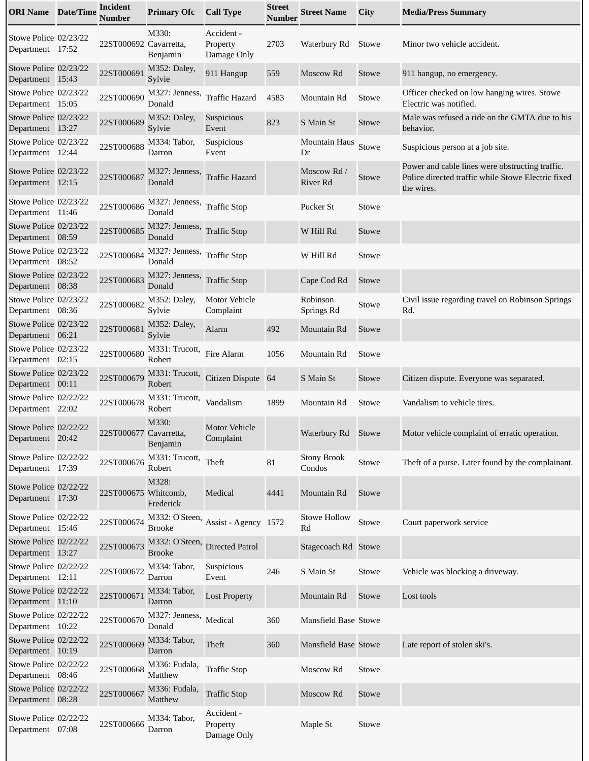| <b>ORI Name</b> Date/Time                 | <b>Incident</b><br>Number | <b>Primary Ofc</b>                              | <b>Call Type</b>                      | <b>Street</b><br><b>Number</b> | <b>Street Name</b>           | <b>City</b> | <b>Media/Press Summary</b>                                                                                          |
|-------------------------------------------|---------------------------|-------------------------------------------------|---------------------------------------|--------------------------------|------------------------------|-------------|---------------------------------------------------------------------------------------------------------------------|
| Stowe Police 02/23/22<br>Department 17:52 | 22ST000692 Cavarretta,    | M330:<br>Benjamin                               | Accident -<br>Property<br>Damage Only | 2703                           | Waterbury Rd                 | Stowe       | Minor two vehicle accident.                                                                                         |
| Stowe Police 02/23/22<br>Department 15:43 | 22ST000691                | M352: Daley,<br>Sylvie                          | 911 Hangup                            | 559                            | Moscow Rd                    | Stowe       | 911 hangup, no emergency.                                                                                           |
| Stowe Police 02/23/22<br>Department 15:05 | 22ST000690                | M327: Jenness,<br>Donald                        | <b>Traffic Hazard</b>                 | 4583                           | Mountain Rd                  | Stowe       | Officer checked on low hanging wires. Stowe<br>Electric was notified.                                               |
| Stowe Police 02/23/22<br>Department 13:27 | 22ST000689                | M352: Daley,<br>Sylvie                          | Suspicious<br>Event                   | 823                            | S Main St                    | Stowe       | Male was refused a ride on the GMTA due to his<br>behavior.                                                         |
| Stowe Police 02/23/22<br>Department 12:44 | 22ST000688                | M334: Tabor,<br>Darron                          | Suspicious<br>Event                   |                                | <b>Mountain Haus</b><br>Dr   | Stowe       | Suspicious person at a job site.                                                                                    |
| Stowe Police 02/23/22<br>Department 12:15 | 22ST000687                | M327: Jenness,<br>Donald                        | <b>Traffic Hazard</b>                 |                                | Moscow Rd /<br>River Rd      | Stowe       | Power and cable lines were obstructing traffic.<br>Police directed traffic while Stowe Electric fixed<br>the wires. |
| Stowe Police 02/23/22<br>Department 11:46 | 22ST000686                | M327: Jenness,<br>Donald                        | <b>Traffic Stop</b>                   |                                | Pucker St                    | Stowe       |                                                                                                                     |
| Stowe Police 02/23/22<br>Department 08:59 | 22ST000685                | M327: Jenness, Traffic Stop<br>Donald           |                                       |                                | W Hill Rd                    | Stowe       |                                                                                                                     |
| Stowe Police 02/23/22<br>Department 08:52 | 22ST000684                | M327: Jenness,<br>Donald                        | <b>Traffic Stop</b>                   |                                | W Hill Rd                    | Stowe       |                                                                                                                     |
| Stowe Police 02/23/22<br>Department 08:38 | 22ST000683                | M327: Jenness,<br>Donald                        | <b>Traffic Stop</b>                   |                                | Cape Cod Rd                  | Stowe       |                                                                                                                     |
| Stowe Police 02/23/22<br>Department 08:36 | 22ST000682                | M352: Daley,<br>Sylvie                          | <b>Motor Vehicle</b><br>Complaint     |                                | Robinson<br>Springs Rd       | Stowe       | Civil issue regarding travel on Robinson Springs<br>Rd.                                                             |
| Stowe Police 02/23/22<br>Department 06:21 | 22ST000681                | M352: Daley,<br>Sylvie                          | Alarm                                 | 492                            | Mountain Rd                  | Stowe       |                                                                                                                     |
| Stowe Police 02/23/22<br>Department 02:15 | 22ST000680                | M331: Trucott,<br>Robert                        | Fire Alarm                            | 1056                           | Mountain Rd                  | Stowe       |                                                                                                                     |
| Stowe Police 02/23/22<br>Department 00:11 | 22ST000679                | M331: Trucott,<br>Robert                        | <b>Citizen Dispute</b>                | 64                             | S Main St                    | Stowe       | Citizen dispute. Everyone was separated.                                                                            |
| Stowe Police 02/22/22<br>Department 22:02 | 22ST000678                | M331: Trucott,<br>Robert                        | Vandalism                             | 1899                           | Mountain Rd                  | Stowe       | Vandalism to vehicle tires.                                                                                         |
| Stowe Police 02/22/22<br>Department 20:42 | 22ST000677 Cavarretta,    | M330:<br>Benjamin                               | <b>Motor Vehicle</b><br>Complaint     |                                | Waterbury Rd Stowe           |             | Motor vehicle complaint of erratic operation.                                                                       |
| Stowe Police 02/22/22<br>Department 17:39 | 22ST000676                | M331: Trucott,<br>Robert                        | Theft                                 | 81                             | <b>Stony Brook</b><br>Condos | Stowe       | Theft of a purse. Later found by the complainant.                                                                   |
| Stowe Police 02/22/22<br>Department 17:30 | 22ST000675 Whitcomb,      | M328:<br>Frederick                              | Medical                               | 4441                           | Mountain Rd                  | Stowe       |                                                                                                                     |
| Stowe Police 02/22/22<br>Department 15:46 | 22ST000674                | <b>Brooke</b>                                   | M332: O'Steen, Assist - Agency 1572   |                                | <b>Stowe Hollow</b><br>Rd    | Stowe       | Court paperwork service                                                                                             |
| Stowe Police 02/22/22<br>Department 13:27 | 22ST000673                | M332: O'Steen, Directed Patrol<br><b>Brooke</b> |                                       |                                | Stagecoach Rd Stowe          |             |                                                                                                                     |
| Stowe Police 02/22/22<br>Department 12:11 | 22ST000672                | M334: Tabor,<br>Darron                          | Suspicious<br>Event                   | 246                            | S Main St                    | Stowe       | Vehicle was blocking a driveway.                                                                                    |
| Stowe Police 02/22/22<br>Department 11:10 | 22ST000671                | M334: Tabor,<br>Darron                          | <b>Lost Property</b>                  |                                | Mountain Rd                  | Stowe       | Lost tools                                                                                                          |
| Stowe Police 02/22/22<br>Department 10:22 | 22ST000670                | M327: Jenness,<br>Donald                        | Medical                               | 360                            | <b>Mansfield Base Stowe</b>  |             |                                                                                                                     |
| Stowe Police 02/22/22<br>Department 10:19 | 22ST000669                | M334: Tabor,<br>Darron                          | Theft                                 | 360                            | <b>Mansfield Base Stowe</b>  |             | Late report of stolen ski's.                                                                                        |
| Stowe Police 02/22/22<br>Department 08:46 | 22ST000668                | M336: Fudala,<br>Matthew                        | <b>Traffic Stop</b>                   |                                | Moscow Rd                    | Stowe       |                                                                                                                     |
| Stowe Police 02/22/22<br>Department 08:28 | 22ST000667                | M336: Fudala,<br>Matthew                        | <b>Traffic Stop</b>                   |                                | Moscow Rd                    | Stowe       |                                                                                                                     |
| Stowe Police 02/22/22<br>Department 07:08 | 22ST000666                | M334: Tabor,<br>Darron                          | Accident -<br>Property<br>Damage Only |                                | Maple St                     | Stowe       |                                                                                                                     |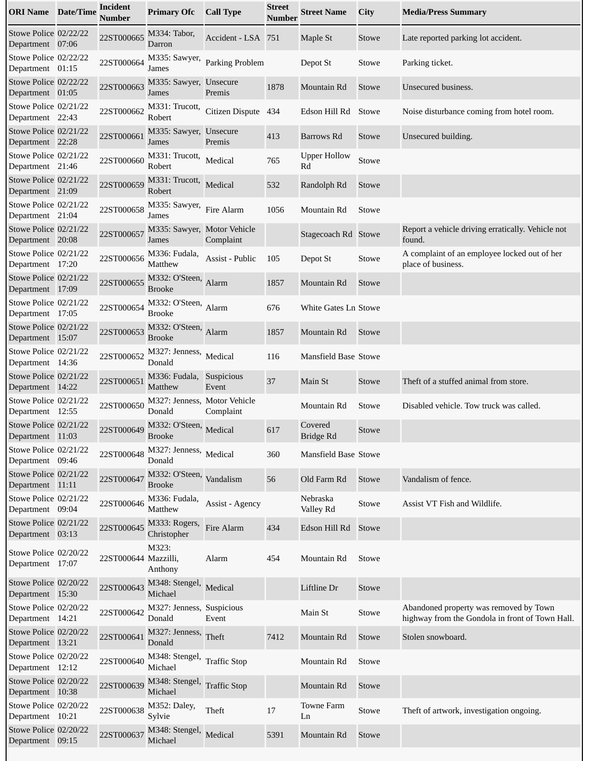| <b>ORI Name</b> Date/Time                 | <b>Incident</b><br><b>Number</b> | <b>Primary Ofc</b>                        | <b>Call Type</b>    | <b>Street</b><br><b>Number</b> | <b>Street Name</b>        | City  | <b>Media/Press Summary</b>                                                                |
|-------------------------------------------|----------------------------------|-------------------------------------------|---------------------|--------------------------------|---------------------------|-------|-------------------------------------------------------------------------------------------|
| Stowe Police 02/22/22<br>Department 07:06 | 22ST000665                       | M334: Tabor,<br>Darron                    | Accident - LSA 751  |                                | Maple St                  | Stowe | Late reported parking lot accident.                                                       |
| Stowe Police 02/22/22<br>Department 01:15 | 22ST000664                       | M335: Sawyer,<br>James                    | Parking Problem     |                                | Depot St                  | Stowe | Parking ticket.                                                                           |
| Stowe Police 02/22/22<br>Department 01:05 | 22ST000663                       | M335: Sawyer, Unsecure<br>James           | Premis              | 1878                           | Mountain Rd               | Stowe | Unsecured business.                                                                       |
| Stowe Police 02/21/22<br>Department 22:43 | 22ST000662                       | M331: Trucott,<br>Robert                  | Citizen Dispute     | 434                            | Edson Hill Rd             | Stowe | Noise disturbance coming from hotel room.                                                 |
| Stowe Police 02/21/22<br>Department 22:28 | 22ST000661                       | M335: Sawyer, Unsecure<br>James           | Premis              | 413                            | Barrows Rd                | Stowe | Unsecured building.                                                                       |
| Stowe Police 02/21/22<br>Department 21:46 | 22ST000660                       | M331: Trucott,<br>Robert                  | Medical             | 765                            | <b>Upper Hollow</b><br>Rd | Stowe |                                                                                           |
| Stowe Police 02/21/22<br>Department 21:09 | 22ST000659                       | M331: Trucott,<br>Robert                  | Medical             | 532                            | Randolph Rd               | Stowe |                                                                                           |
| Stowe Police 02/21/22<br>Department 21:04 | 22ST000658                       | M335: Sawyer,<br>James                    | Fire Alarm          | 1056                           | Mountain Rd               | Stowe |                                                                                           |
| Stowe Police 02/21/22<br>Department 20:08 | 22ST000657                       | M335: Sawyer, Motor Vehicle<br>James      | Complaint           |                                | Stagecoach Rd Stowe       |       | Report a vehicle driving erratically. Vehicle not<br>found.                               |
| Stowe Police 02/21/22<br>Department 17:20 | 22ST000656                       | M336: Fudala,<br>Matthew                  | Assist - Public     | 105                            | Depot St                  | Stowe | A complaint of an employee locked out of her<br>place of business.                        |
| Stowe Police 02/21/22<br>Department 17:09 | 22ST000655                       | M332: O'Steen, Alarm<br><b>Brooke</b>     |                     | 1857                           | Mountain Rd               | Stowe |                                                                                           |
| Stowe Police 02/21/22<br>Department 17:05 | 22ST000654                       | M332: O'Steen, Alarm<br>Brooke            |                     | 676                            | White Gates Ln Stowe      |       |                                                                                           |
| Stowe Police 02/21/22<br>Department 15:07 | 22ST000653                       | M332: O'Steen, Alarm<br><b>Brooke</b>     |                     | 1857                           | Mountain Rd               | Stowe |                                                                                           |
| Stowe Police 02/21/22<br>Department 14:36 | 22ST000652                       | M327: Jenness, Medical<br>Donald          |                     | 116                            | Mansfield Base Stowe      |       |                                                                                           |
| Stowe Police 02/21/22<br>Department 14:22 | 22ST000651                       | M336: Fudala,<br>Matthew                  | Suspicious<br>Event | 37                             | Main St                   | Stowe | Theft of a stuffed animal from store.                                                     |
| Stowe Police 02/21/22<br>Department 12:55 | 22ST000650                       | M327: Jenness, Motor Vehicle<br>Donald    | Complaint           |                                | Mountain Rd               | Stowe | Disabled vehicle. Tow truck was called.                                                   |
| Stowe Police 02/21/22<br>Department 11:03 | 22ST000649                       | M332: O'Steen, Medical<br>Brooke          |                     | 617                            | Covered<br>Bridge Rd      | Stowe |                                                                                           |
| Stowe Police 02/21/22<br>Department 09:46 | 22ST000648                       | M327: Jenness, Medical<br>Donald          |                     | 360                            | Mansfield Base Stowe      |       |                                                                                           |
| Stowe Police 02/21/22<br>Department 11:11 | 22ST000647                       | M332: O'Steen, Vandalism<br><b>Brooke</b> |                     | 56                             | Old Farm Rd               | Stowe | Vandalism of fence.                                                                       |
| Stowe Police 02/21/22<br>Department 09:04 | 22ST000646                       | M336: Fudala,<br>Matthew                  | Assist - Agency     |                                | Nebraska<br>Valley Rd     | Stowe | Assist VT Fish and Wildlife.                                                              |
| Stowe Police 02/21/22<br>Department 03:13 | 22ST000645                       | M333: Rogers,<br>Christopher              | Fire Alarm          | 434                            | Edson Hill Rd             | Stowe |                                                                                           |
| Stowe Police 02/20/22<br>Department 17:07 | 22ST000644 Mazzilli,             | M323:<br>Anthony                          | Alarm               | 454                            | Mountain Rd               | Stowe |                                                                                           |
| Stowe Police 02/20/22<br>Department 15:30 | 22ST000643                       | M348: Stengel,<br>Michael                 | Medical             |                                | Liftline Dr               | Stowe |                                                                                           |
| Stowe Police 02/20/22<br>Department 14:21 | 22ST000642                       | M327: Jenness, Suspicious<br>Donald       | Event               |                                | Main St                   | Stowe | Abandoned property was removed by Town<br>highway from the Gondola in front of Town Hall. |
| Stowe Police 02/20/22<br>Department 13:21 | 22ST000641                       | M327: Jenness,<br>Donald                  | Theft               | 7412                           | Mountain Rd               | Stowe | Stolen snowboard.                                                                         |
| Stowe Police 02/20/22<br>Department 12:12 | 22ST000640                       | M348: Stengel,<br>Michael                 | <b>Traffic Stop</b> |                                | Mountain Rd               | Stowe |                                                                                           |
| Stowe Police 02/20/22<br>Department 10:38 | 22ST000639                       | M348: Stengel,<br>Michael                 | <b>Traffic Stop</b> |                                | Mountain Rd               | Stowe |                                                                                           |
| Stowe Police 02/20/22<br>Department 10:21 | 22ST000638                       | M352: Daley,<br>Sylvie                    | Theft               | 17                             | <b>Towne Farm</b><br>Ln   | Stowe | Theft of artwork, investigation ongoing.                                                  |
| Stowe Police 02/20/22<br>Department 09:15 | 22ST000637                       | M348: Stengel,<br>Michael                 | Medical             | 5391                           | Mountain Rd               | Stowe |                                                                                           |